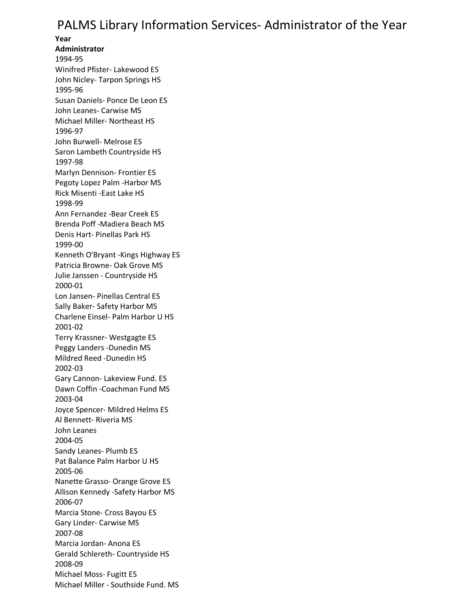## PALMS Library Information Services- Administrator of the Year

**Year Administrator** 1994-95 Winifred Pfister- Lakewood ES John Nicley- Tarpon Springs HS 1995-96 Susan Daniels- Ponce De Leon ES John Leanes- Carwise MS Michael Miller- Northeast HS 1996-97 John Burwell- Melrose ES Saron Lambeth Countryside HS 1997-98 Marlyn Dennison- Frontier ES Pegoty Lopez Palm -Harbor MS Rick Misenti -East Lake HS 1998-99 Ann Fernandez -Bear Creek ES Brenda Poff -Madiera Beach MS Denis Hart- Pinellas Park HS 1999-00 Kenneth O'Bryant -Kings Highway ES Patricia Browne- Oak Grove MS Julie Janssen - Countryside HS 2000-01 Lon Jansen- Pinellas Central ES Sally Baker- Safety Harbor MS Charlene Einsel- Palm Harbor U HS 2001-02 Terry Krassner- Westgagte ES Peggy Landers -Dunedin MS Mildred Reed -Dunedin HS 2002-03 Gary Cannon- Lakeview Fund. ES Dawn Coffin -Coachman Fund MS 2003-04 Joyce Spencer- Mildred Helms ES Al Bennett- Riveria MS John Leanes 2004-05 Sandy Leanes- Plumb ES Pat Balance Palm Harbor U HS 2005-06 Nanette Grasso- Orange Grove ES Allison Kennedy -Safety Harbor MS 2006-07 Marcia Stone- Cross Bayou ES Gary Linder- Carwise MS 2007-08 Marcia Jordan- Anona ES Gerald Schlereth- Countryside HS 2008-09 Michael Moss- Fugitt ES Michael Miller - Southside Fund. MS